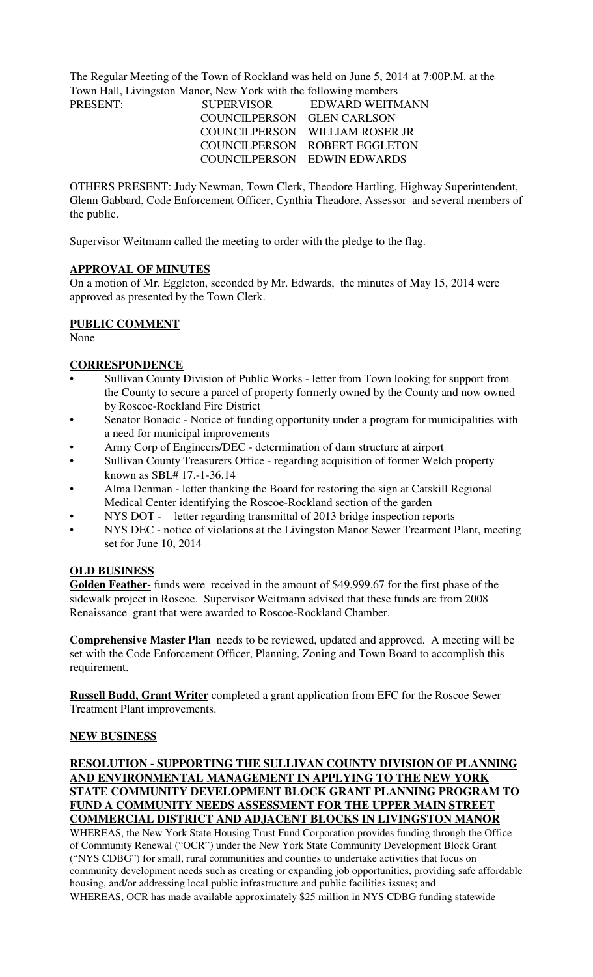The Regular Meeting of the Town of Rockland was held on June 5, 2014 at 7:00P.M. at the Town Hall, Livingston Manor, New York with the following members

| <b>SUPERVISOR</b>          | EDWARD WEITMANN                |
|----------------------------|--------------------------------|
| COUNCILPERSON GLEN CARLSON |                                |
|                            | COUNCILPERSON WILLIAM ROSER JR |
|                            | COUNCILPERSON ROBERT EGGLETON  |
|                            | COUNCILPERSON EDWIN EDWARDS    |
|                            |                                |

OTHERS PRESENT: Judy Newman, Town Clerk, Theodore Hartling, Highway Superintendent, Glenn Gabbard, Code Enforcement Officer, Cynthia Theadore, Assessor and several members of the public.

Supervisor Weitmann called the meeting to order with the pledge to the flag.

#### **APPROVAL OF MINUTES**

On a motion of Mr. Eggleton, seconded by Mr. Edwards, the minutes of May 15, 2014 were approved as presented by the Town Clerk.

#### **PUBLIC COMMENT**

None

#### **CORRESPONDENCE**

- Sullivan County Division of Public Works letter from Town looking for support from the County to secure a parcel of property formerly owned by the County and now owned by Roscoe-Rockland Fire District
- Senator Bonacic Notice of funding opportunity under a program for municipalities with a need for municipal improvements
- Army Corp of Engineers/DEC determination of dam structure at airport
- Sullivan County Treasurers Office regarding acquisition of former Welch property known as SBL# 17.-1-36.14
- Alma Denman letter thanking the Board for restoring the sign at Catskill Regional Medical Center identifying the Roscoe-Rockland section of the garden
- NYS DOT letter regarding transmittal of 2013 bridge inspection reports
- NYS DEC notice of violations at the Livingston Manor Sewer Treatment Plant, meeting set for June 10, 2014

### **OLD BUSINESS**

**Golden Feather-** funds were received in the amount of \$49,999.67 for the first phase of the sidewalk project in Roscoe. Supervisor Weitmann advised that these funds are from 2008 Renaissance grant that were awarded to Roscoe-Rockland Chamber.

**Comprehensive Master Plan** needs to be reviewed, updated and approved. A meeting will be set with the Code Enforcement Officer, Planning, Zoning and Town Board to accomplish this requirement.

**Russell Budd, Grant Writer** completed a grant application from EFC for the Roscoe Sewer Treatment Plant improvements.

#### **NEW BUSINESS**

**RESOLUTION - SUPPORTING THE SULLIVAN COUNTY DIVISION OF PLANNING AND ENVIRONMENTAL MANAGEMENT IN APPLYING TO THE NEW YORK STATE COMMUNITY DEVELOPMENT BLOCK GRANT PLANNING PROGRAM TO FUND A COMMUNITY NEEDS ASSESSMENT FOR THE UPPER MAIN STREET COMMERCIAL DISTRICT AND ADJACENT BLOCKS IN LIVINGSTON MANOR**

WHEREAS, the New York State Housing Trust Fund Corporation provides funding through the Office of Community Renewal ("OCR") under the New York State Community Development Block Grant ("NYS CDBG") for small, rural communities and counties to undertake activities that focus on community development needs such as creating or expanding job opportunities, providing safe affordable housing, and/or addressing local public infrastructure and public facilities issues; and WHEREAS, OCR has made available approximately \$25 million in NYS CDBG funding statewide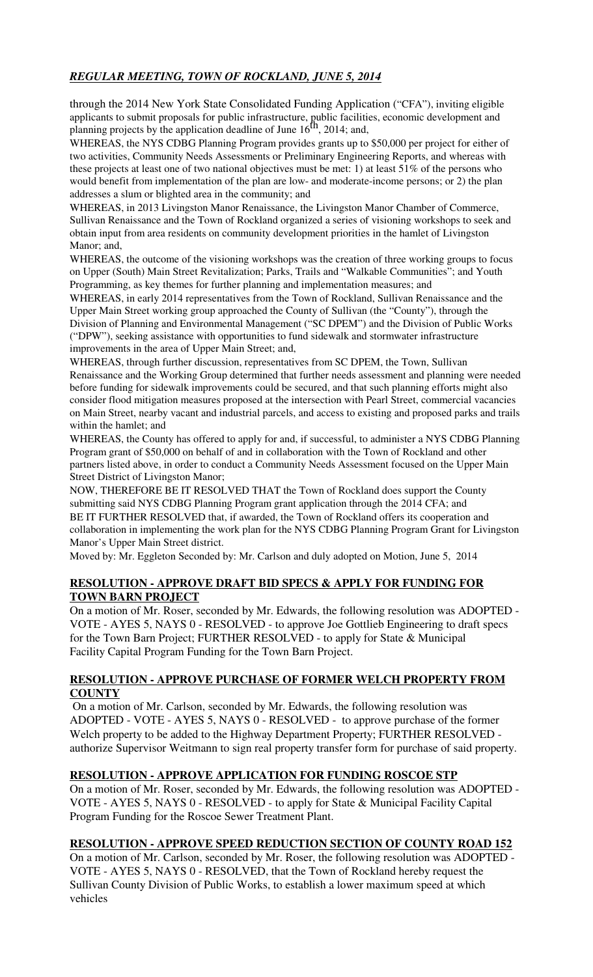## *REGULAR MEETING, TOWN OF ROCKLAND, JUNE 5, 2014*

through the 2014 New York State Consolidated Funding Application ("CFA"), inviting eligible applicants to submit proposals for public infrastructure, public facilities, economic development and planning projects by the application deadline of June  $16<sup>th</sup>$ , 2014; and,

WHEREAS, the NYS CDBG Planning Program provides grants up to \$50,000 per project for either of two activities, Community Needs Assessments or Preliminary Engineering Reports, and whereas with these projects at least one of two national objectives must be met: 1) at least 51% of the persons who would benefit from implementation of the plan are low- and moderate-income persons; or 2) the plan addresses a slum or blighted area in the community; and

WHEREAS, in 2013 Livingston Manor Renaissance, the Livingston Manor Chamber of Commerce, Sullivan Renaissance and the Town of Rockland organized a series of visioning workshops to seek and obtain input from area residents on community development priorities in the hamlet of Livingston Manor; and,

WHEREAS, the outcome of the visioning workshops was the creation of three working groups to focus on Upper (South) Main Street Revitalization; Parks, Trails and "Walkable Communities"; and Youth Programming, as key themes for further planning and implementation measures; and

WHEREAS, in early 2014 representatives from the Town of Rockland, Sullivan Renaissance and the Upper Main Street working group approached the County of Sullivan (the "County"), through the Division of Planning and Environmental Management ("SC DPEM") and the Division of Public Works ("DPW"), seeking assistance with opportunities to fund sidewalk and stormwater infrastructure improvements in the area of Upper Main Street; and,

WHEREAS, through further discussion, representatives from SC DPEM, the Town, Sullivan Renaissance and the Working Group determined that further needs assessment and planning were needed before funding for sidewalk improvements could be secured, and that such planning efforts might also consider flood mitigation measures proposed at the intersection with Pearl Street, commercial vacancies on Main Street, nearby vacant and industrial parcels, and access to existing and proposed parks and trails within the hamlet; and

WHEREAS, the County has offered to apply for and, if successful, to administer a NYS CDBG Planning Program grant of \$50,000 on behalf of and in collaboration with the Town of Rockland and other partners listed above, in order to conduct a Community Needs Assessment focused on the Upper Main Street District of Livingston Manor;

NOW, THEREFORE BE IT RESOLVED THAT the Town of Rockland does support the County submitting said NYS CDBG Planning Program grant application through the 2014 CFA; and BE IT FURTHER RESOLVED that, if awarded, the Town of Rockland offers its cooperation and collaboration in implementing the work plan for the NYS CDBG Planning Program Grant for Livingston Manor's Upper Main Street district.

Moved by: Mr. Eggleton Seconded by: Mr. Carlson and duly adopted on Motion, June 5, 2014

### **RESOLUTION - APPROVE DRAFT BID SPECS & APPLY FOR FUNDING FOR TOWN BARN PROJECT**

On a motion of Mr. Roser, seconded by Mr. Edwards, the following resolution was ADOPTED - VOTE - AYES 5, NAYS 0 - RESOLVED - to approve Joe Gottlieb Engineering to draft specs for the Town Barn Project; FURTHER RESOLVED - to apply for State & Municipal Facility Capital Program Funding for the Town Barn Project.

#### **RESOLUTION - APPROVE PURCHASE OF FORMER WELCH PROPERTY FROM COUNTY**

 On a motion of Mr. Carlson, seconded by Mr. Edwards, the following resolution was ADOPTED - VOTE - AYES 5, NAYS 0 - RESOLVED - to approve purchase of the former Welch property to be added to the Highway Department Property; FURTHER RESOLVED authorize Supervisor Weitmann to sign real property transfer form for purchase of said property.

### **RESOLUTION - APPROVE APPLICATION FOR FUNDING ROSCOE STP**

On a motion of Mr. Roser, seconded by Mr. Edwards, the following resolution was ADOPTED - VOTE - AYES 5, NAYS 0 - RESOLVED - to apply for State & Municipal Facility Capital Program Funding for the Roscoe Sewer Treatment Plant.

## **RESOLUTION - APPROVE SPEED REDUCTION SECTION OF COUNTY ROAD 152**

On a motion of Mr. Carlson, seconded by Mr. Roser, the following resolution was ADOPTED - VOTE - AYES 5, NAYS 0 - RESOLVED, that the Town of Rockland hereby request the Sullivan County Division of Public Works, to establish a lower maximum speed at which vehicles